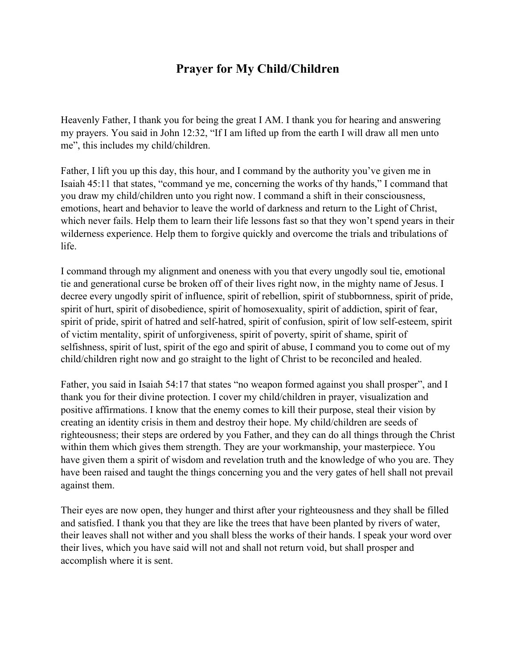## **Prayer for My Child/Children**

Heavenly Father, I thank you for being the great I AM. I thank you for hearing and answering my prayers. You said in John 12:32, "If I am lifted up from the earth I will draw all men unto me", this includes my child/children.

Father, I lift you up this day, this hour, and I command by the authority you've given me in Isaiah 45:11 that states, "command ye me, concerning the works of thy hands," I command that you draw my child/children unto you right now. I command a shift in their consciousness, emotions, heart and behavior to leave the world of darkness and return to the Light of Christ, which never fails. Help them to learn their life lessons fast so that they won't spend years in their wilderness experience. Help them to forgive quickly and overcome the trials and tribulations of life.

I command through my alignment and oneness with you that every ungodly soul tie, emotional tie and generational curse be broken off of their lives right now, in the mighty name of Jesus. I decree every ungodly spirit of influence, spirit of rebellion, spirit of stubbornness, spirit of pride, spirit of hurt, spirit of disobedience, spirit of homosexuality, spirit of addiction, spirit of fear, spirit of pride, spirit of hatred and self-hatred, spirit of confusion, spirit of low self-esteem, spirit of victim mentality, spirit of unforgiveness, spirit of poverty, spirit of shame, spirit of selfishness, spirit of lust, spirit of the ego and spirit of abuse, I command you to come out of my child/children right now and go straight to the light of Christ to be reconciled and healed.

Father, you said in Isaiah 54:17 that states "no weapon formed against you shall prosper", and I thank you for their divine protection. I cover my child/children in prayer, visualization and positive affirmations. I know that the enemy comes to kill their purpose, steal their vision by creating an identity crisis in them and destroy their hope. My child/children are seeds of righteousness; their steps are ordered by you Father, and they can do all things through the Christ within them which gives them strength. They are your workmanship, your masterpiece. You have given them a spirit of wisdom and revelation truth and the knowledge of who you are. They have been raised and taught the things concerning you and the very gates of hell shall not prevail against them.

Their eyes are now open, they hunger and thirst after your righteousness and they shall be filled and satisfied. I thank you that they are like the trees that have been planted by rivers of water, their leaves shall not wither and you shall bless the works of their hands. I speak your word over their lives, which you have said will not and shall not return void, but shall prosper and accomplish where it is sent.